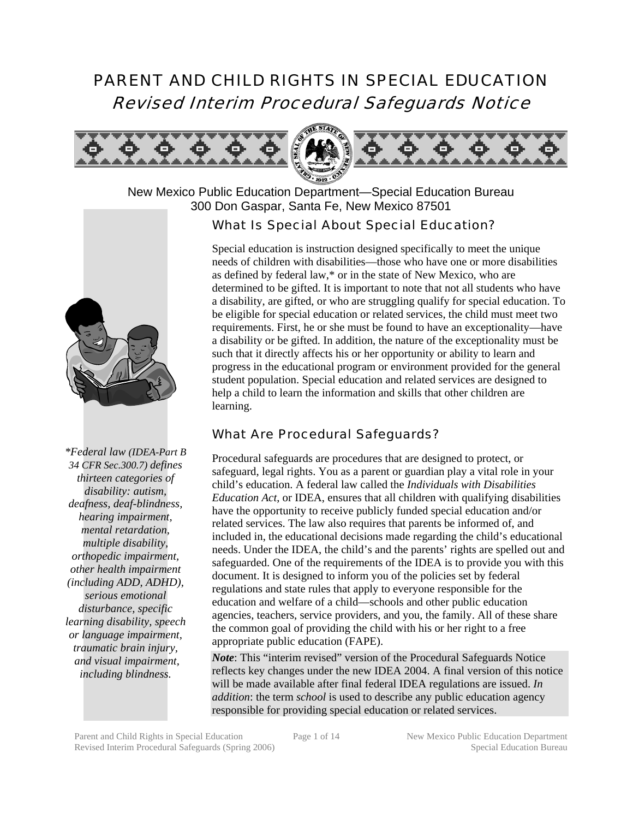# PARENT AND CHILD RIGHTS IN SPECIAL EDUCATION Revised Interim Procedural Safeguards Notice



New Mexico Public Education Department—Special Education Bureau 300 Don Gaspar, Santa Fe, New Mexico 87501

#### What Is Special About Special Education?

Special education is instruction designed specifically to meet the unique needs of children with disabilities—those who have one or more disabilities as defined by federal law,\* or in the state of New Mexico, who are determined to be gifted. It is important to note that not all students who have a disability, are gifted, or who are struggling qualify for special education. To be eligible for special education or related services, the child must meet two requirements. First, he or she must be found to have an exceptionality—have a disability or be gifted. In addition, the nature of the exceptionality must be such that it directly affects his or her opportunity or ability to learn and progress in the educational program or environment provided for the general student population. Special education and related services are designed to help a child to learn the information and skills that other children are learning.

#### What Are Procedural Safeguards?

Procedural safeguards are procedures that are designed to protect, or safeguard, legal rights. You as a parent or guardian play a vital role in your child's education. A federal law called the *Individuals with Disabilities Education Act*, or IDEA, ensures that all children with qualifying disabilities have the opportunity to receive publicly funded special education and/or related services. The law also requires that parents be informed of, and included in, the educational decisions made regarding the child's educational needs. Under the IDEA, the child's and the parents' rights are spelled out and safeguarded. One of the requirements of the IDEA is to provide you with this document. It is designed to inform you of the policies set by federal regulations and state rules that apply to everyone responsible for the education and welfare of a child—schools and other public education agencies, teachers, service providers, and you, the family. All of these share the common goal of providing the child with his or her right to a free appropriate public education (FAPE).

*Note*: This "interim revised" version of the Procedural Safeguards Notice reflects key changes under the new IDEA 2004. A final version of this notice will be made available after final federal IDEA regulations are issued. *In addition*: the term *school* is used to describe any public education agency responsible for providing special education or related services.



*\*Federal law (IDEA-Part B 34 CFR Sec.300.7) defines thirteen categories of disability: autism, deafness, deaf-blindness, hearing impairment, mental retardation, multiple disability, orthopedic impairment, other health impairment (including ADD, ADHD), serious emotional disturbance, specific learning disability, speech or language impairment, traumatic brain injury, and visual impairment, including blindness.*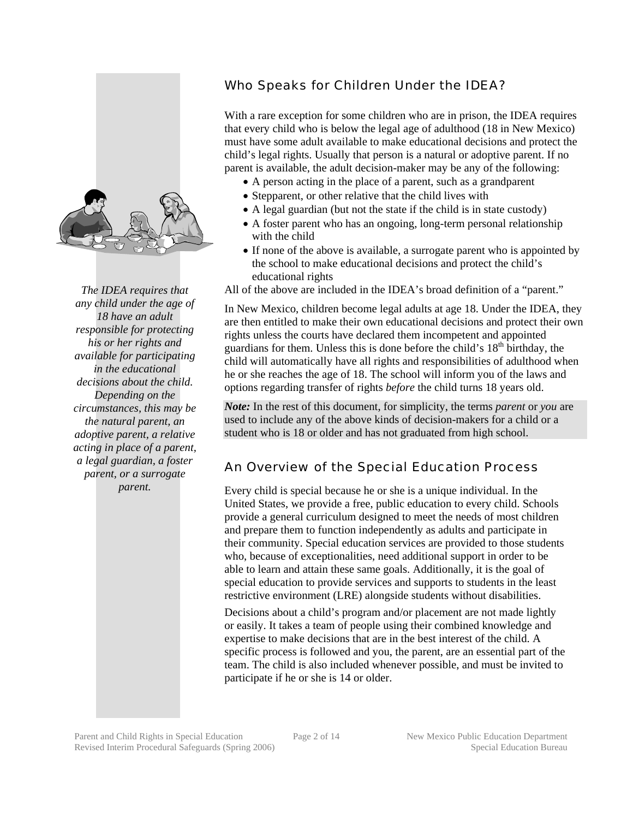

*The IDEA requires that any child under the age of 18 have an adult responsible for protecting his or her rights and available for participating in the educational decisions about the child. Depending on the circumstances, this may be the natural parent, an adoptive parent, a relative acting in place of a parent, a legal guardian, a foster parent, or a surrogate parent.* 

#### Who Speaks for Children Under the IDEA?

With a rare exception for some children who are in prison, the IDEA requires that every child who is below the legal age of adulthood (18 in New Mexico) must have some adult available to make educational decisions and protect the child's legal rights. Usually that person is a natural or adoptive parent. If no parent is available, the adult decision-maker may be any of the following:

- A person acting in the place of a parent, such as a grandparent
- Stepparent, or other relative that the child lives with
- A legal guardian (but not the state if the child is in state custody)
- A foster parent who has an ongoing, long-term personal relationship with the child
- If none of the above is available, a surrogate parent who is appointed by the school to make educational decisions and protect the child's educational rights

All of the above are included in the IDEA's broad definition of a "parent."

In New Mexico, children become legal adults at age 18. Under the IDEA, they are then entitled to make their own educational decisions and protect their own rights unless the courts have declared them incompetent and appointed guardians for them. Unless this is done before the child's  $18<sup>th</sup>$  birthday, the child will automatically have all rights and responsibilities of adulthood when he or she reaches the age of 18. The school will inform you of the laws and options regarding transfer of rights *before* the child turns 18 years old.

*Note:* In the rest of this document, for simplicity, the terms *parent* or *you* are used to include any of the above kinds of decision-makers for a child or a student who is 18 or older and has not graduated from high school.

#### An Overview of the Special Education Process

Every child is special because he or she is a unique individual. In the United States, we provide a free, public education to every child. Schools provide a general curriculum designed to meet the needs of most children and prepare them to function independently as adults and participate in their community. Special education services are provided to those students who, because of exceptionalities, need additional support in order to be able to learn and attain these same goals. Additionally, it is the goal of special education to provide services and supports to students in the least restrictive environment (LRE) alongside students without disabilities.

Decisions about a child's program and/or placement are not made lightly or easily. It takes a team of people using their combined knowledge and expertise to make decisions that are in the best interest of the child. A specific process is followed and you, the parent, are an essential part of the team. The child is also included whenever possible, and must be invited to participate if he or she is 14 or older.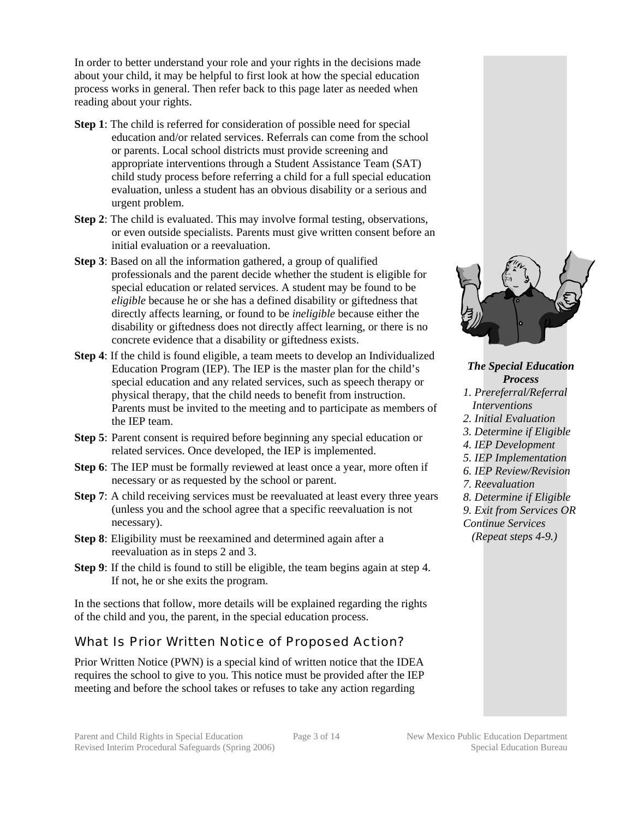In order to better understand your role and your rights in the decisions made about your child, it may be helpful to first look at how the special education process works in general. Then refer back to this page later as needed when reading about your rights.

- **Step 1**: The child is referred for consideration of possible need for special education and/or related services. Referrals can come from the school or parents. Local school districts must provide screening and appropriate interventions through a Student Assistance Team (SAT) child study process before referring a child for a full special education evaluation, unless a student has an obvious disability or a serious and urgent problem.
- **Step 2**: The child is evaluated. This may involve formal testing, observations, or even outside specialists. Parents must give written consent before an initial evaluation or a reevaluation.
- **Step 3**: Based on all the information gathered, a group of qualified professionals and the parent decide whether the student is eligible for special education or related services. A student may be found to be *eligible* because he or she has a defined disability or giftedness that directly affects learning, or found to be *ineligible* because either the disability or giftedness does not directly affect learning, or there is no concrete evidence that a disability or giftedness exists.
- **Step 4**: If the child is found eligible, a team meets to develop an Individualized Education Program (IEP). The IEP is the master plan for the child's special education and any related services, such as speech therapy or physical therapy, that the child needs to benefit from instruction. Parents must be invited to the meeting and to participate as members of the IEP team.
- **Step 5**: Parent consent is required before beginning any special education or related services. Once developed, the IEP is implemented.
- **Step 6**: The IEP must be formally reviewed at least once a year, more often if necessary or as requested by the school or parent.
- **Step 7:** A child receiving services must be reevaluated at least every three years (unless you and the school agree that a specific reevaluation is not necessary).
- **Step 8**: Eligibility must be reexamined and determined again after a reevaluation as in steps 2 and 3.
- **Step 9**: If the child is found to still be eligible, the team begins again at step 4. If not, he or she exits the program.

In the sections that follow, more details will be explained regarding the rights of the child and you, the parent, in the special education process.

## What Is Prior Written Notice of Proposed Action?

Prior Written Notice (PWN) is a special kind of written notice that the IDEA requires the school to give to you. This notice must be provided after the IEP meeting and before the school takes or refuses to take any action regarding



*The Special Education Process 1. Prereferral/Referral Interventions 2. Initial Evaluation 3. Determine if Eligible 4. IEP Development 5. IEP Implementation 6. IEP Review/Revision 7. Reevaluation 8. Determine if Eligible 9. Exit from Services OR Continue Services (Repeat steps 4-9.)*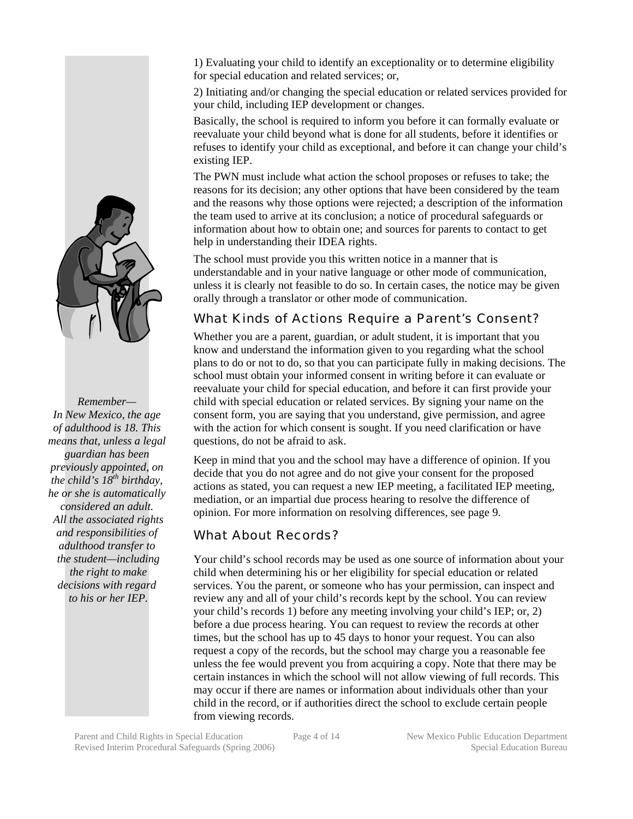1) Evaluating your child to identify an exceptionality or to determine eligibility for special education and related services; or,

2) Initiating and/or changing the special education or related services provided for your child, including IEP development or changes.

Basically, the school is required to inform you before it can formally evaluate or reevaluate your child beyond what is done for all students, before it identifies or refuses to identify your child as exceptional, and before it can change your child's existing IEP.

The PWN must include what action the school proposes or refuses to take; the reasons for its decision; any other options that have been considered by the team and the reasons why those options were rejected; a description of the information the team used to arrive at its conclusion; a notice of procedural safeguards or information about how to obtain one; and sources for parents to contact to get help in understanding their IDEA rights.

The school must provide you this written notice in a manner that is understandable and in your native language or other mode of communication, unless it is clearly not feasible to do so. In certain cases, the notice may be given orally through a translator or other mode of communication.

# What Kinds of Actions Require a Parent's Consent?

Whether you are a parent, guardian, or adult student, it is important that you know and understand the information given to you regarding what the school plans to do or not to do, so that you can participate fully in making decisions. The school must obtain your informed consent in writing before it can evaluate or reevaluate your child for special education, and before it can first provide your child with special education or related services. By signing your name on the consent form, you are saying that you understand, give permission, and agree with the action for which consent is sought. If you need clarification or have questions, do not be afraid to ask.

Keep in mind that you and the school may have a difference of opinion. If you decide that you do not agree and do not give your consent for the proposed actions as stated, you can request a new IEP meeting, a facilitated IEP meeting, mediation, or an impartial due process hearing to resolve the difference of opinion. For more information on resolving differences, see page 9.

#### What About Records?

Your child's school records may be used as one source of information about your child when determining his or her eligibility for special education or related services. You the parent, or someone who has your permission, can inspect and review any and all of your child's records kept by the school. You can review your child's records 1) before any meeting involving your child's IEP; or, 2) before a due process hearing. You can request to review the records at other times, but the school has up to 45 days to honor your request. You can also request a copy of the records, but the school may charge you a reasonable fee unless the fee would prevent you from acquiring a copy. Note that there may be certain instances in which the school will not allow viewing of full records. This may occur if there are names or information about individuals other than your child in the record, or if authorities direct the school to exclude certain people from viewing records.



*Remember— In New Mexico, the age of adulthood is 18. This means that, unless a legal guardian has been previously appointed, on the child's 18th birthday, he or she is automatically considered an adult. All the associated rights and responsibilities of adulthood transfer to the student—including the right to make decisions with regard to his or her IEP.*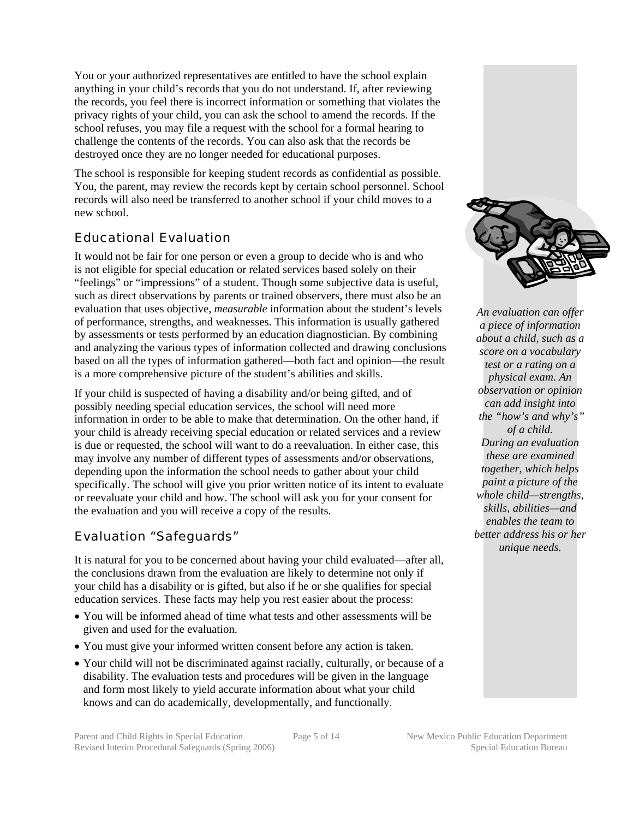You or your authorized representatives are entitled to have the school explain anything in your child's records that you do not understand. If, after reviewing the records, you feel there is incorrect information or something that violates the privacy rights of your child, you can ask the school to amend the records. If the school refuses, you may file a request with the school for a formal hearing to challenge the contents of the records. You can also ask that the records be destroyed once they are no longer needed for educational purposes.

The school is responsible for keeping student records as confidential as possible. You, the parent, may review the records kept by certain school personnel. School records will also need be transferred to another school if your child moves to a new school.

# Educational Evaluation

It would not be fair for one person or even a group to decide who is and who is not eligible for special education or related services based solely on their "feelings" or "impressions" of a student. Though some subjective data is useful, such as direct observations by parents or trained observers, there must also be an evaluation that uses objective, *measurable* information about the student's levels of performance, strengths, and weaknesses. This information is usually gathered by assessments or tests performed by an education diagnostician. By combining and analyzing the various types of information collected and drawing conclusions based on all the types of information gathered—both fact and opinion—the result is a more comprehensive picture of the student's abilities and skills.

If your child is suspected of having a disability and/or being gifted, and of possibly needing special education services, the school will need more information in order to be able to make that determination. On the other hand, if your child is already receiving special education or related services and a review is due or requested, the school will want to do a reevaluation. In either case, this may involve any number of different types of assessments and/or observations, depending upon the information the school needs to gather about your child specifically. The school will give you prior written notice of its intent to evaluate or reevaluate your child and how. The school will ask you for your consent for the evaluation and you will receive a copy of the results.

## Evaluation "Safeguards"

It is natural for you to be concerned about having your child evaluated—after all, the conclusions drawn from the evaluation are likely to determine not only if your child has a disability or is gifted, but also if he or she qualifies for special education services. These facts may help you rest easier about the process:

- You will be informed ahead of time what tests and other assessments will be given and used for the evaluation.
- You must give your informed written consent before any action is taken.
- Your child will not be discriminated against racially, culturally, or because of a disability. The evaluation tests and procedures will be given in the language and form most likely to yield accurate information about what your child knows and can do academically, developmentally, and functionally.





*An evaluation can offer a piece of information about a child, such as a score on a vocabulary test or a rating on a physical exam. An observation or opinion can add insight into the "how's and why's" of a child. During an evaluation these are examined together, which helps paint a picture of the whole child—strengths, skills, abilities—and enables the team to better address his or her unique needs.*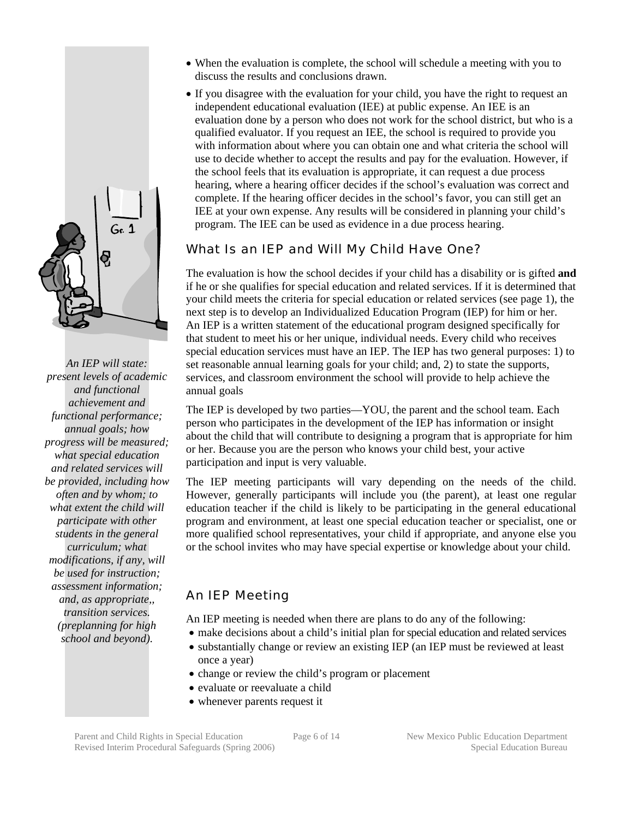

*An IEP will state: present levels of academic and functional achievement and functional performance; annual goals; how progress will be measured; what special education and related services will be provided, including how often and by whom; to what extent the child will participate with other students in the general curriculum; what modifications, if any, will be used for instruction; assessment information; and, as appropriate,, transition services. (preplanning for high school and beyond).* 

- When the evaluation is complete, the school will schedule a meeting with you to discuss the results and conclusions drawn.
- If you disagree with the evaluation for your child, you have the right to request an independent educational evaluation (IEE) at public expense. An IEE is an evaluation done by a person who does not work for the school district, but who is a qualified evaluator. If you request an IEE, the school is required to provide you with information about where you can obtain one and what criteria the school will use to decide whether to accept the results and pay for the evaluation. However, if the school feels that its evaluation is appropriate, it can request a due process hearing, where a hearing officer decides if the school's evaluation was correct and complete. If the hearing officer decides in the school's favor, you can still get an IEE at your own expense. Any results will be considered in planning your child's program. The IEE can be used as evidence in a due process hearing.

## What Is an IEP and Will My Child Have One?

The evaluation is how the school decides if your child has a disability or is gifted **and**  if he or she qualifies for special education and related services. If it is determined that your child meets the criteria for special education or related services (see page 1), the next step is to develop an Individualized Education Program (IEP) for him or her. An IEP is a written statement of the educational program designed specifically for that student to meet his or her unique, individual needs. Every child who receives special education services must have an IEP. The IEP has two general purposes: 1) to set reasonable annual learning goals for your child; and, 2) to state the supports, services, and classroom environment the school will provide to help achieve the annual goals

The IEP is developed by two parties—YOU, the parent and the school team. Each person who participates in the development of the IEP has information or insight about the child that will contribute to designing a program that is appropriate for him or her. Because you are the person who knows your child best, your active participation and input is very valuable.

The IEP meeting participants will vary depending on the needs of the child. However, generally participants will include you (the parent), at least one regular education teacher if the child is likely to be participating in the general educational program and environment, at least one special education teacher or specialist, one or more qualified school representatives, your child if appropriate, and anyone else you or the school invites who may have special expertise or knowledge about your child.

## An IEP Meeting

An IEP meeting is needed when there are plans to do any of the following:

- make decisions about a child's initial plan for special education and related services
- substantially change or review an existing IEP (an IEP must be reviewed at least once a year)
- change or review the child's program or placement
- evaluate or reevaluate a child
- whenever parents request it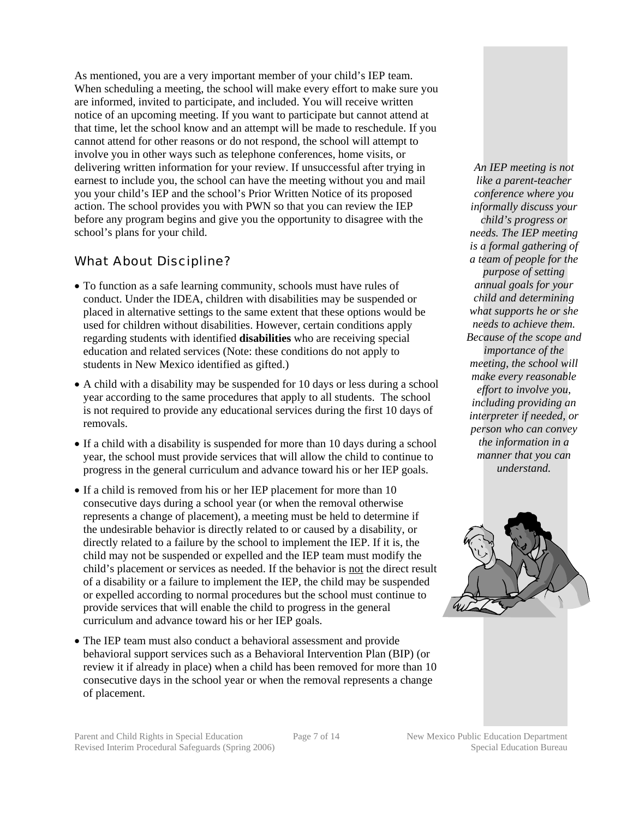As mentioned, you are a very important member of your child's IEP team. When scheduling a meeting, the school will make every effort to make sure you are informed, invited to participate, and included. You will receive written notice of an upcoming meeting. If you want to participate but cannot attend at that time, let the school know and an attempt will be made to reschedule. If you cannot attend for other reasons or do not respond, the school will attempt to involve you in other ways such as telephone conferences, home visits, or delivering written information for your review. If unsuccessful after trying in earnest to include you, the school can have the meeting without you and mail you your child's IEP and the school's Prior Written Notice of its proposed action. The school provides you with PWN so that you can review the IEP before any program begins and give you the opportunity to disagree with the school's plans for your child.

#### What About Discipline?

- To function as a safe learning community, schools must have rules of conduct. Under the IDEA, children with disabilities may be suspended or placed in alternative settings to the same extent that these options would be used for children without disabilities. However, certain conditions apply regarding students with identified **disabilities** who are receiving special education and related services (Note: these conditions do not apply to students in New Mexico identified as gifted.)
- A child with a disability may be suspended for 10 days or less during a school year according to the same procedures that apply to all students. The school is not required to provide any educational services during the first 10 days of removals.
- If a child with a disability is suspended for more than 10 days during a school year, the school must provide services that will allow the child to continue to progress in the general curriculum and advance toward his or her IEP goals.
- If a child is removed from his or her IEP placement for more than 10 consecutive days during a school year (or when the removal otherwise represents a change of placement), a meeting must be held to determine if the undesirable behavior is directly related to or caused by a disability, or directly related to a failure by the school to implement the IEP. If it is, the child may not be suspended or expelled and the IEP team must modify the child's placement or services as needed. If the behavior is not the direct result of a disability or a failure to implement the IEP, the child may be suspended or expelled according to normal procedures but the school must continue to provide services that will enable the child to progress in the general curriculum and advance toward his or her IEP goals.
- The IEP team must also conduct a behavioral assessment and provide behavioral support services such as a Behavioral Intervention Plan (BIP) (or review it if already in place) when a child has been removed for more than 10 consecutive days in the school year or when the removal represents a change of placement.

*An IEP meeting is not like a parent-teacher conference where you informally discuss your child's progress or needs. The IEP meeting is a formal gathering of a team of people for the purpose of setting annual goals for your child and determining what supports he or she needs to achieve them. Because of the scope and importance of the meeting, the school will make every reasonable effort to involve you, including providing an interpreter if needed, or person who can convey the information in a manner that you can understand.* 

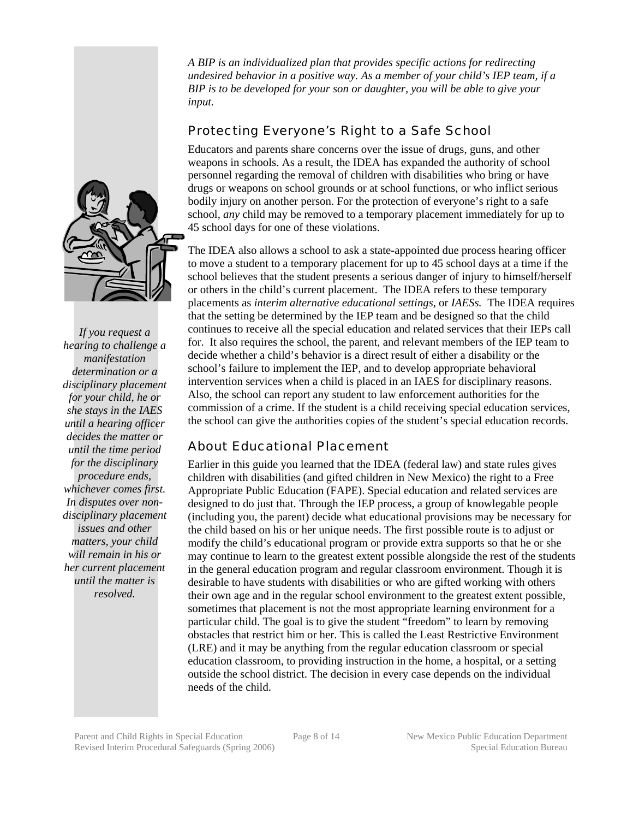*A BIP is an individualized plan that provides specific actions for redirecting undesired behavior in a positive way. As a member of your child's IEP team, if a BIP is to be developed for your son or daughter, you will be able to give your input.*

### Protecting Everyone's Right to a Safe School

Educators and parents share concerns over the issue of drugs, guns, and other weapons in schools. As a result, the IDEA has expanded the authority of school personnel regarding the removal of children with disabilities who bring or have drugs or weapons on school grounds or at school functions, or who inflict serious bodily injury on another person. For the protection of everyone's right to a safe school, *any* child may be removed to a temporary placement immediately for up to 45 school days for one of these violations.

The IDEA also allows a school to ask a state-appointed due process hearing officer to move a student to a temporary placement for up to 45 school days at a time if the school believes that the student presents a serious danger of injury to himself/herself or others in the child's current placement. The IDEA refers to these temporary placements as *interim alternative educational settings,* or *IAESs.* The IDEA requires that the setting be determined by the IEP team and be designed so that the child continues to receive all the special education and related services that their IEPs call for. It also requires the school, the parent, and relevant members of the IEP team to decide whether a child's behavior is a direct result of either a disability or the school's failure to implement the IEP, and to develop appropriate behavioral intervention services when a child is placed in an IAES for disciplinary reasons. Also, the school can report any student to law enforcement authorities for the commission of a crime. If the student is a child receiving special education services, the school can give the authorities copies of the student's special education records.

## About Educational Placement

Earlier in this guide you learned that the IDEA (federal law) and state rules gives children with disabilities (and gifted children in New Mexico) the right to a Free Appropriate Public Education (FAPE). Special education and related services are designed to do just that. Through the IEP process, a group of knowlegable people (including you, the parent) decide what educational provisions may be necessary for the child based on his or her unique needs. The first possible route is to adjust or modify the child's educational program or provide extra supports so that he or she may continue to learn to the greatest extent possible alongside the rest of the students in the general education program and regular classroom environment. Though it is desirable to have students with disabilities or who are gifted working with others their own age and in the regular school environment to the greatest extent possible, sometimes that placement is not the most appropriate learning environment for a particular child. The goal is to give the student "freedom" to learn by removing obstacles that restrict him or her. This is called the Least Restrictive Environment (LRE) and it may be anything from the regular education classroom or special education classroom, to providing instruction in the home, a hospital, or a setting outside the school district. The decision in every case depends on the individual needs of the child.



*If you request a hearing to challenge a manifestation determination or a disciplinary placement for your child, he or she stays in the IAES until a hearing officer decides the matter or until the time period for the disciplinary procedure ends, whichever comes first. In disputes over nondisciplinary placement issues and other matters, your child will remain in his or her current placement until the matter is resolved.*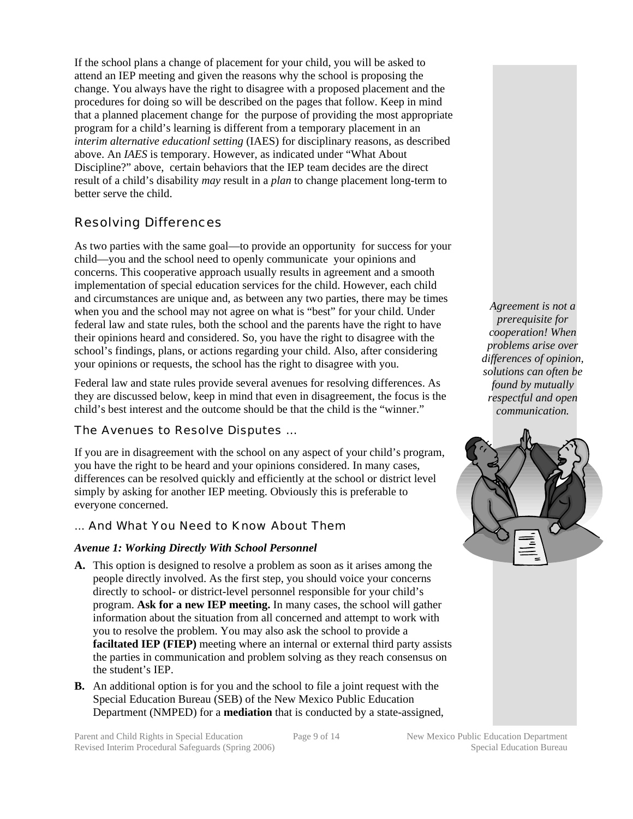If the school plans a change of placement for your child, you will be asked to attend an IEP meeting and given the reasons why the school is proposing the change. You always have the right to disagree with a proposed placement and the procedures for doing so will be described on the pages that follow. Keep in mind that a planned placement change for the purpose of providing the most appropriate program for a child's learning is different from a temporary placement in an *interim alternative educationl setting* (IAES) for disciplinary reasons, as described above. An *IAES* is temporary. However, as indicated under "What About Discipline?" above, certain behaviors that the IEP team decides are the direct result of a child's disability *may* result in a *plan* to change placement long-term to better serve the child.

#### Resolving Differences

As two parties with the same goal—to provide an opportunity for success for your child—you and the school need to openly communicate your opinions and concerns. This cooperative approach usually results in agreement and a smooth implementation of special education services for the child. However, each child and circumstances are unique and, as between any two parties, there may be times when you and the school may not agree on what is "best" for your child. Under federal law and state rules, both the school and the parents have the right to have their opinions heard and considered. So, you have the right to disagree with the school's findings, plans, or actions regarding your child. Also, after considering your opinions or requests, the school has the right to disagree with you.

Federal law and state rules provide several avenues for resolving differences. As they are discussed below, keep in mind that even in disagreement, the focus is the child's best interest and the outcome should be that the child is the "winner."

#### The Avenues to Resolve Disputes …

If you are in disagreement with the school on any aspect of your child's program, you have the right to be heard and your opinions considered. In many cases, differences can be resolved quickly and efficiently at the school or district level simply by asking for another IEP meeting. Obviously this is preferable to everyone concerned.

#### … And What You Need to Know About Them

#### *Avenue 1: Working Directly With School Personnel*

- **A.** This option is designed to resolve a problem as soon as it arises among the people directly involved. As the first step, you should voice your concerns directly to school- or district-level personnel responsible for your child's program. **Ask for a new IEP meeting.** In many cases, the school will gather information about the situation from all concerned and attempt to work with you to resolve the problem. You may also ask the school to provide a **faciltated IEP (FIEP)** meeting where an internal or external third party assists the parties in communication and problem solving as they reach consensus on the student's IEP.
- **B.** An additional option is for you and the school to file a joint request with the Special Education Bureau (SEB) of the New Mexico Public Education Department (NMPED) for a **mediation** that is conducted by a state-assigned,

*Agreement is not a prerequisite for cooperation! When problems arise over differences of opinion, solutions can often be found by mutually respectful and open communication.* 

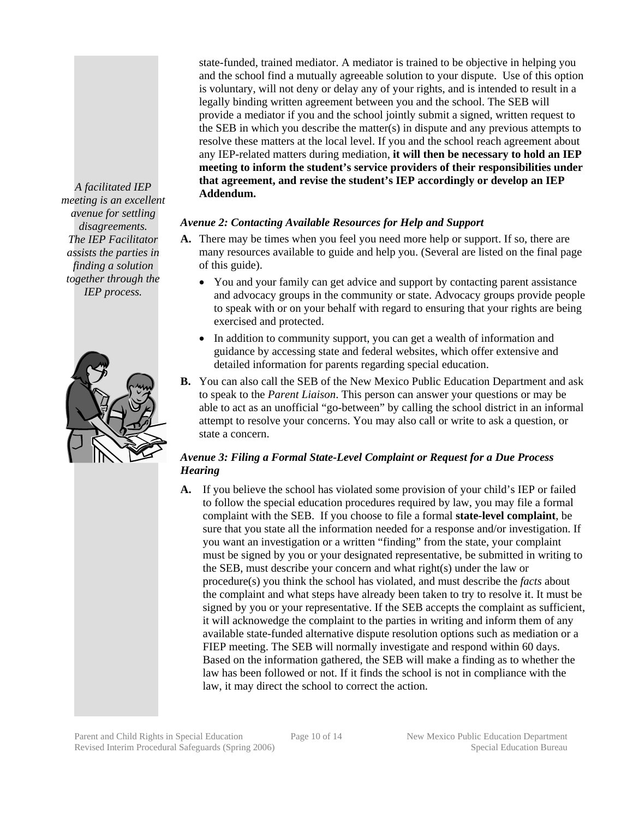state-funded, trained mediator. A mediator is trained to be objective in helping you and the school find a mutually agreeable solution to your dispute. Use of this option is voluntary, will not deny or delay any of your rights, and is intended to result in a legally binding written agreement between you and the school. The SEB will provide a mediator if you and the school jointly submit a signed, written request to the SEB in which you describe the matter(s) in dispute and any previous attempts to resolve these matters at the local level. If you and the school reach agreement about any IEP-related matters during mediation, **it will then be necessary to hold an IEP meeting to inform the student's service providers of their responsibilities under that agreement, and revise the student's IEP accordingly or develop an IEP Addendum.** 

#### *Avenue 2: Contacting Available Resources for Help and Support*

- **A.** There may be times when you feel you need more help or support. If so, there are many resources available to guide and help you. (Several are listed on the final page of this guide).
	- You and your family can get advice and support by contacting parent assistance and advocacy groups in the community or state. Advocacy groups provide people to speak with or on your behalf with regard to ensuring that your rights are being exercised and protected.
	- In addition to community support, you can get a wealth of information and guidance by accessing state and federal websites, which offer extensive and detailed information for parents regarding special education.
- **B.** You can also call the SEB of the New Mexico Public Education Department and ask to speak to the *Parent Liaison*. This person can answer your questions or may be able to act as an unofficial "go-between" by calling the school district in an informal attempt to resolve your concerns. You may also call or write to ask a question, or state a concern.

#### *Avenue 3: Filing a Formal State-Level Complaint or Request for a Due Process Hearing*

**A.** If you believe the school has violated some provision of your child's IEP or failed to follow the special education procedures required by law, you may file a formal complaint with the SEB. If you choose to file a formal **state-level complaint**, be sure that you state all the information needed for a response and/or investigation. If you want an investigation or a written "finding" from the state, your complaint must be signed by you or your designated representative, be submitted in writing to the SEB, must describe your concern and what right(s) under the law or procedure(s) you think the school has violated, and must describe the *facts* about the complaint and what steps have already been taken to try to resolve it. It must be signed by you or your representative. If the SEB accepts the complaint as sufficient, it will acknowedge the complaint to the parties in writing and inform them of any available state-funded alternative dispute resolution options such as mediation or a FIEP meeting. The SEB will normally investigate and respond within 60 days. Based on the information gathered, the SEB will make a finding as to whether the law has been followed or not. If it finds the school is not in compliance with the law, it may direct the school to correct the action.

*A facilitated IEP meeting is an excellent avenue for settling disagreements. The IEP Facilitator assists the parties in finding a solution together through the IEP process.* 

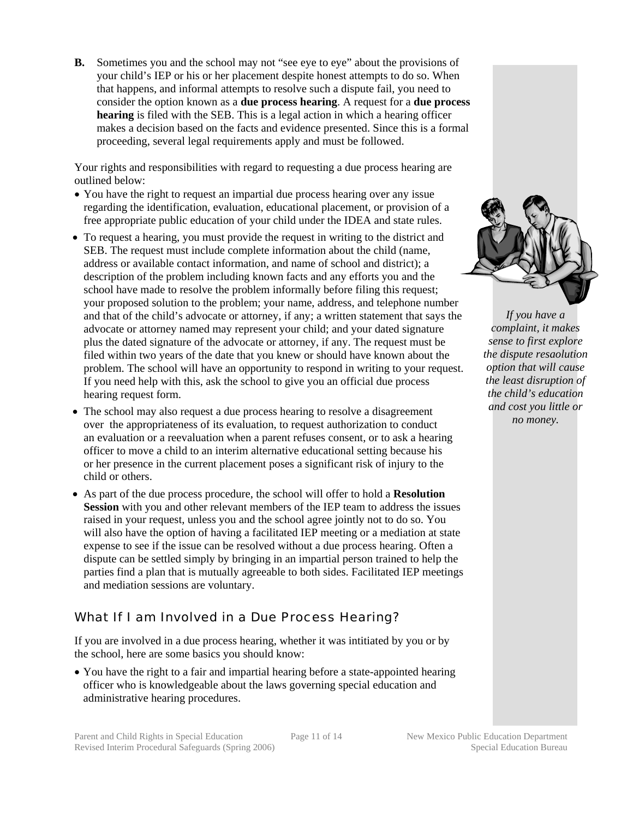**B.** Sometimes you and the school may not "see eye to eye" about the provisions of your child's IEP or his or her placement despite honest attempts to do so. When that happens, and informal attempts to resolve such a dispute fail, you need to consider the option known as a **due process hearing**. A request for a **due process hearing** is filed with the SEB. This is a legal action in which a hearing officer makes a decision based on the facts and evidence presented. Since this is a formal proceeding, several legal requirements apply and must be followed.

Your rights and responsibilities with regard to requesting a due process hearing are outlined below:

- You have the right to request an impartial due process hearing over any issue regarding the identification, evaluation, educational placement, or provision of a free appropriate public education of your child under the IDEA and state rules.
- To request a hearing, you must provide the request in writing to the district and SEB. The request must include complete information about the child (name, address or available contact information, and name of school and district); a description of the problem including known facts and any efforts you and the school have made to resolve the problem informally before filing this request; your proposed solution to the problem; your name, address, and telephone number and that of the child's advocate or attorney, if any; a written statement that says the advocate or attorney named may represent your child; and your dated signature plus the dated signature of the advocate or attorney, if any. The request must be filed within two years of the date that you knew or should have known about the problem. The school will have an opportunity to respond in writing to your request. If you need help with this, ask the school to give you an official due process hearing request form.
- The school may also request a due process hearing to resolve a disagreement over the appropriateness of its evaluation, to request authorization to conduct an evaluation or a reevaluation when a parent refuses consent, or to ask a hearing officer to move a child to an interim alternative educational setting because his or her presence in the current placement poses a significant risk of injury to the child or others.
- As part of the due process procedure, the school will offer to hold a **Resolution Session** with you and other relevant members of the IEP team to address the issues raised in your request, unless you and the school agree jointly not to do so. You will also have the option of having a facilitated IEP meeting or a mediation at state expense to see if the issue can be resolved without a due process hearing. Often a dispute can be settled simply by bringing in an impartial person trained to help the parties find a plan that is mutually agreeable to both sides. Facilitated IEP meetings and mediation sessions are voluntary.

## What If I am Involved in a Due Process Hearing?

If you are involved in a due process hearing, whether it was intitiated by you or by the school, here are some basics you should know:

• You have the right to a fair and impartial hearing before a state-appointed hearing officer who is knowledgeable about the laws governing special education and administrative hearing procedures.



*If you have a complaint, it makes sense to first explore the dispute resaolution option that will cause the least disruption of the child's education and cost you little or no money.*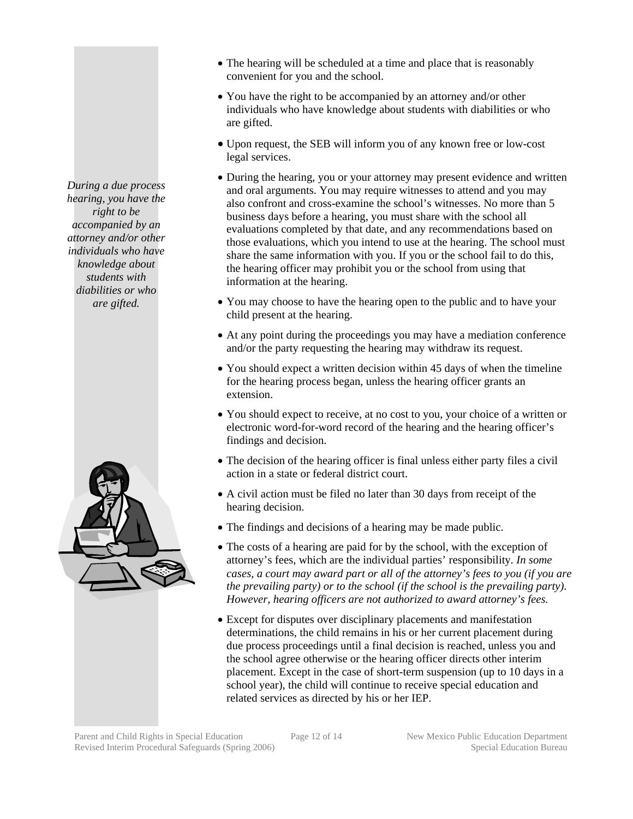- The hearing will be scheduled at a time and place that is reasonably convenient for you and the school.
- You have the right to be accompanied by an attorney and/or other individuals who have knowledge about students with diabilities or who are gifted.
- Upon request, the SEB will inform you of any known free or low-cost legal services.
- During the hearing, you or your attorney may present evidence and written and oral arguments. You may require witnesses to attend and you may also confront and cross-examine the school's witnesses. No more than 5 business days before a hearing, you must share with the school all evaluations completed by that date, and any recommendations based on those evaluations, which you intend to use at the hearing. The school must share the same information with you. If you or the school fail to do this, the hearing officer may prohibit you or the school from using that information at the hearing.
- You may choose to have the hearing open to the public and to have your child present at the hearing.
- At any point during the proceedings you may have a mediation conference and/or the party requesting the hearing may withdraw its request.
- You should expect a written decision within 45 days of when the timeline for the hearing process began, unless the hearing officer grants an extension.
- You should expect to receive, at no cost to you, your choice of a written or electronic word-for-word record of the hearing and the hearing officer's findings and decision.
- The decision of the hearing officer is final unless either party files a civil action in a state or federal district court.
- A civil action must be filed no later than 30 days from receipt of the hearing decision.
- The findings and decisions of a hearing may be made public.
- The costs of a hearing are paid for by the school, with the exception of attorney's fees, which are the individual parties' responsibility*. In some cases, a court may award part or all of the attorney's fees to you (if you are the prevailing party) or to the school (if the school is the prevailing party). However, hearing officers are not authorized to award attorney's fees.*
- Except for disputes over disciplinary placements and manifestation determinations, the child remains in his or her current placement during due process proceedings until a final decision is reached, unless you and the school agree otherwise or the hearing officer directs other interim placement. Except in the case of short-term suspension (up to 10 days in a school year), the child will continue to receive special education and related services as directed by his or her IEP.

*During a due process hearing, you have the right to be accompanied by an attorney and/or other individuals who have knowledge about students with diabilities or who are gifted.* 

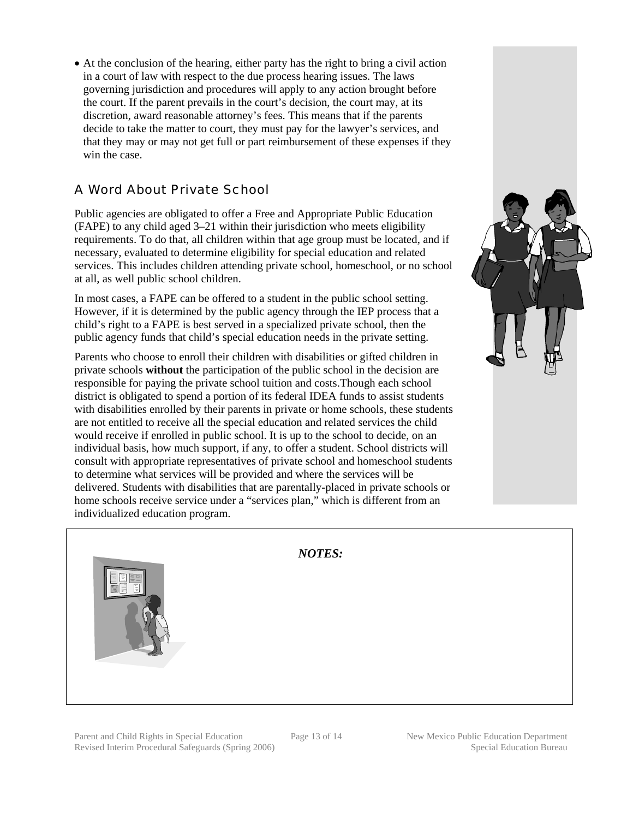• At the conclusion of the hearing, either party has the right to bring a civil action in a court of law with respect to the due process hearing issues. The laws governing jurisdiction and procedures will apply to any action brought before the court. If the parent prevails in the court's decision, the court may, at its discretion, award reasonable attorney's fees. This means that if the parents decide to take the matter to court, they must pay for the lawyer's services, and that they may or may not get full or part reimbursement of these expenses if they win the case.

# A Word About Private School

Public agencies are obligated to offer a Free and Appropriate Public Education (FAPE) to any child aged 3–21 within their jurisdiction who meets eligibility requirements. To do that, all children within that age group must be located, and if necessary, evaluated to determine eligibility for special education and related services. This includes children attending private school, homeschool, or no school at all, as well public school children.

In most cases, a FAPE can be offered to a student in the public school setting. However, if it is determined by the public agency through the IEP process that a child's right to a FAPE is best served in a specialized private school, then the public agency funds that child's special education needs in the private setting.

Parents who choose to enroll their children with disabilities or gifted children in private schools **without** the participation of the public school in the decision are responsible for paying the private school tuition and costs.Though each school district is obligated to spend a portion of its federal IDEA funds to assist students with disabilities enrolled by their parents in private or home schools, these students are not entitled to receive all the special education and related services the child would receive if enrolled in public school. It is up to the school to decide, on an individual basis, how much support, if any, to offer a student. School districts will consult with appropriate representatives of private school and homeschool students to determine what services will be provided and where the services will be delivered. Students with disabilities that are parentally-placed in private schools or home schools receive service under a "services plan," which is different from an individualized education program.